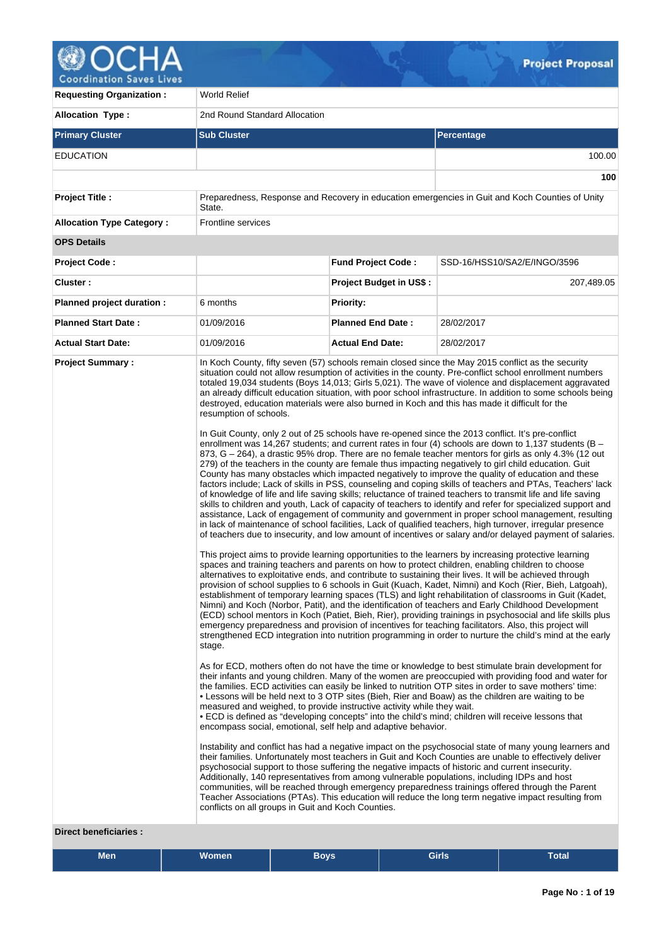

**Requesting Organization : World Relief Allocation Type :** 2nd Round Standard Allocation **Primary Cluster Sub Cluster Sub Cluster** Sub Cluster Sub Cluster Sub Cluster Sub Cluster Sub Cluster Sub Cluster EDUCATION 100.00 **100 Project Title :** Preparedness, Response and Recovery in education emergencies in Guit and Koch Counties of Unity State. **Allocation Type Category :** Frontline services **OPS Details Project Code : Fund Project Code :** SSD-16/HSS10/SA2/E/INGO/3596 **Cluster : Project Budget in US\$ :** 207,489.05 **Planned project duration :** 6 months **Planned Priority: Planned Start Date :** 01/09/2016 **Planned End Date :** 28/02/2017 **Actual Start Date:** 01/09/2016 **Actual End Date:** 28/02/2017 **Project Summary :** In Koch County, fifty seven (57) schools remain closed since the May 2015 conflict as the security situation could not allow resumption of activities in the county. Pre-conflict school enrollment numbers totaled 19,034 students (Boys 14,013; Girls 5,021). The wave of violence and displacement aggravated an already difficult education situation, with poor school infrastructure. In addition to some schools being destroyed, education materials were also burned in Koch and this has made it difficult for the resumption of schools. In Guit County, only 2 out of 25 schools have re-opened since the 2013 conflict. It's pre-conflict enrollment was 14,267 students; and current rates in four (4) schools are down to 1,137 students (B -873, G – 264), a drastic 95% drop. There are no female teacher mentors for girls as only 4.3% (12 out 279) of the teachers in the county are female thus impacting negatively to girl child education. Guit County has many obstacles which impacted negatively to improve the quality of education and these factors include; Lack of skills in PSS, counseling and coping skills of teachers and PTAs, Teachers' lack of knowledge of life and life saving skills; reluctance of trained teachers to transmit life and life saving skills to children and youth, Lack of capacity of teachers to identify and refer for specialized support and assistance, Lack of engagement of community and government in proper school management, resulting in lack of maintenance of school facilities, Lack of qualified teachers, high turnover, irregular presence of teachers due to insecurity, and low amount of incentives or salary and/or delayed payment of salaries. This project aims to provide learning opportunities to the learners by increasing protective learning spaces and training teachers and parents on how to protect children, enabling children to choose alternatives to exploitative ends, and contribute to sustaining their lives. It will be achieved through provision of school supplies to 6 schools in Guit (Kuach, Kadet, Nimni) and Koch (Rier, Bieh, Latgoah), establishment of temporary learning spaces (TLS) and light rehabilitation of classrooms in Guit (Kadet, Nimni) and Koch (Norbor, Patit), and the identification of teachers and Early Childhood Development (ECD) school mentors in Koch (Patiet, Bieh, Rier), providing trainings in psychosocial and life skills plus emergency preparedness and provision of incentives for teaching facilitators. Also, this project will strengthened ECD integration into nutrition programming in order to nurture the child's mind at the early stage. As for ECD, mothers often do not have the time or knowledge to best stimulate brain development for their infants and young children. Many of the women are preoccupied with providing food and water for the families. ECD activities can easily be linked to nutrition OTP sites in order to save mothers' time: • Lessons will be held next to 3 OTP sites (Bieh, Rier and Boaw) as the children are waiting to be measured and weighed, to provide instructive activity while they wait. • ECD is defined as "developing concepts" into the child's mind; children will receive lessons that encompass social, emotional, self help and adaptive behavior. Instability and conflict has had a negative impact on the psychosocial state of many young learners and their families. Unfortunately most teachers in Guit and Koch Counties are unable to effectively deliver psychosocial support to those suffering the negative impacts of historic and current insecurity. Additionally, 140 representatives from among vulnerable populations, including IDPs and host communities, will be reached through emergency preparedness trainings offered through the Parent Teacher Associations (PTAs). This education will reduce the long term negative impact resulting from conflicts on all groups in Guit and Koch Counties.

### **Direct beneficiaries :**

| <b>Men</b> | Women | <b>Boys</b> | <b>Girls</b> | –<br><b>Total</b> |  |
|------------|-------|-------------|--------------|-------------------|--|
|------------|-------|-------------|--------------|-------------------|--|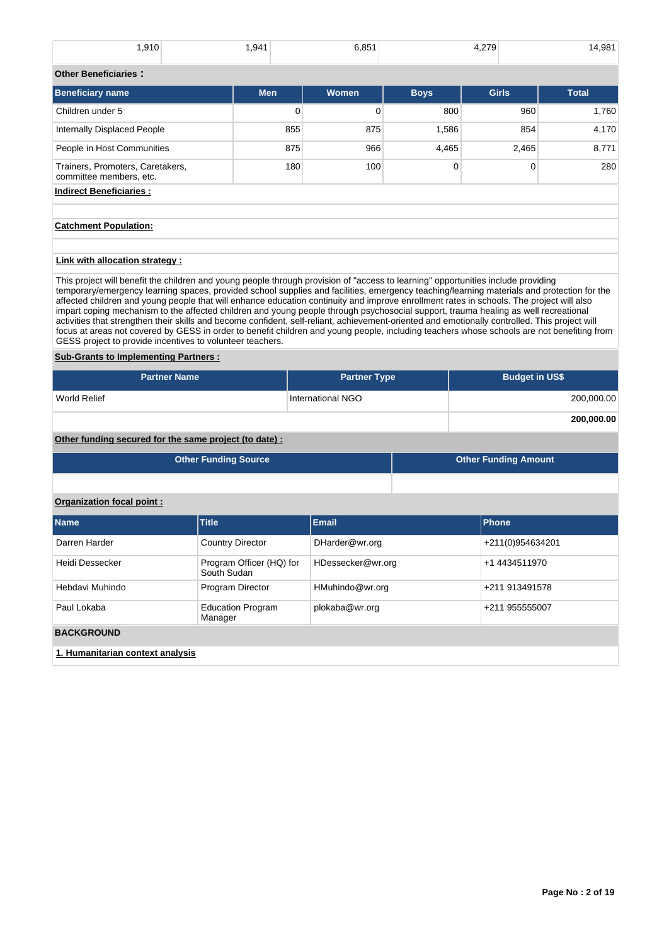| ∫910. ا | 941.ا | 6,851 | 4.279 | 14,981 |
|---------|-------|-------|-------|--------|
|         |       |       |       |        |

#### **Other Beneficiaries :**

| <b>Beneficiary name</b>                                     | <b>Men</b> | <b>Women</b> | <b>Boys</b> | <b>Girls</b> | <b>Total</b> |  |  |
|-------------------------------------------------------------|------------|--------------|-------------|--------------|--------------|--|--|
| Children under 5                                            | 0          |              | 800         | 960          | 1,760        |  |  |
| Internally Displaced People                                 | 855        | 875          | 1,586       | 854          | 4,170        |  |  |
| People in Host Communities                                  | 875        | 966          | 4,465       | 2,465        | 8,771        |  |  |
| Trainers, Promoters, Caretakers,<br>committee members, etc. | 180        | 100          |             | 0            | 280          |  |  |
| <b>Indirect Beneficiaries:</b>                              |            |              |             |              |              |  |  |

### **Catchment Population:**

## **Link with allocation strategy :**

This project will benefit the children and young people through provision of "access to learning" opportunities include providing temporary/emergency learning spaces, provided school supplies and facilities, emergency teaching/learning materials and protection for the affected children and young people that will enhance education continuity and improve enrollment rates in schools. The project will also impart coping mechanism to the affected children and young people through psychosocial support, trauma healing as well recreational activities that strengthen their skills and become confident, self-reliant, achievement-oriented and emotionally controlled. This project will focus at areas not covered by GESS in order to benefit children and young people, including teachers whose schools are not benefiting from GESS project to provide incentives to volunteer teachers.

### **Sub-Grants to Implementing Partners :**

| <b>Partner Name</b> | <b>Partner Type</b> | <b>Budget in US\$</b> |
|---------------------|---------------------|-----------------------|
| World Relief        | International NGO   | 200,000.00            |
|                     |                     | 200,000.00            |

## **Other funding secured for the same project (to date) :**

| Other Funding Source | <b>Other Funding Amount</b> |
|----------------------|-----------------------------|
|                      |                             |

### **Organization focal point :**

| <b>Name</b>                      | <b>Title</b>                            | <b>Email</b>      | Phone            |  |  |  |
|----------------------------------|-----------------------------------------|-------------------|------------------|--|--|--|
| Darren Harder                    | <b>Country Director</b>                 | DHarder@wr.org    | +211(0)954634201 |  |  |  |
| Heidi Dessecker                  | Program Officer (HQ) for<br>South Sudan | HDessecker@wr.org | +1 4434511970    |  |  |  |
| Hebdavi Muhindo                  | Program Director                        | HMuhindo@wr.org   | +211 913491578   |  |  |  |
| Paul Lokaba                      | <b>Education Program</b><br>Manager     | plokaba@wr.org    | +211 955555007   |  |  |  |
| <b>BACKGROUND</b>                |                                         |                   |                  |  |  |  |
| 1. Humanitarian context analysis |                                         |                   |                  |  |  |  |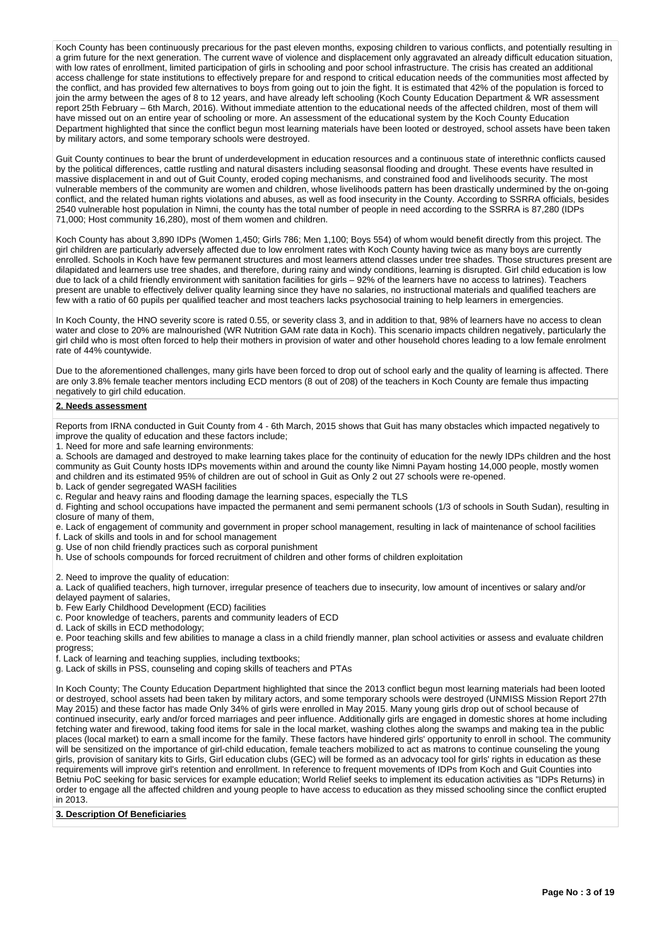Koch County has been continuously precarious for the past eleven months, exposing children to various conflicts, and potentially resulting in a grim future for the next generation. The current wave of violence and displacement only aggravated an already difficult education situation, with low rates of enrollment, limited participation of girls in schooling and poor school infrastructure. The crisis has created an additional access challenge for state institutions to effectively prepare for and respond to critical education needs of the communities most affected by the conflict, and has provided few alternatives to boys from going out to join the fight. It is estimated that 42% of the population is forced to join the army between the ages of 8 to 12 years, and have already left schooling (Koch County Education Department & WR assessment report 25th February – 6th March, 2016). Without immediate attention to the educational needs of the affected children, most of them will have missed out on an entire year of schooling or more. An assessment of the educational system by the Koch County Education Department highlighted that since the conflict begun most learning materials have been looted or destroyed, school assets have been taken by military actors, and some temporary schools were destroyed.

Guit County continues to bear the brunt of underdevelopment in education resources and a continuous state of interethnic conflicts caused by the political differences, cattle rustling and natural disasters including seasonsal flooding and drought. These events have resulted in massive displacement in and out of Guit County, eroded coping mechanisms, and constrained food and livelihoods security. The most vulnerable members of the community are women and children, whose livelihoods pattern has been drastically undermined by the on-going conflict, and the related human rights violations and abuses, as well as food insecurity in the County. According to SSRRA officials, besides 2540 vulnerable host population in Nimni, the county has the total number of people in need according to the SSRRA is 87,280 (IDPs 71,000; Host community 16,280), most of them women and children.

Koch County has about 3,890 IDPs (Women 1,450; Girls 786; Men 1,100; Boys 554) of whom would benefit directly from this project. The girl children are particularly adversely affected due to low enrolment rates with Koch County having twice as many boys are currently enrolled. Schools in Koch have few permanent structures and most learners attend classes under tree shades. Those structures present are dilapidated and learners use tree shades, and therefore, during rainy and windy conditions, learning is disrupted. Girl child education is low due to lack of a child friendly environment with sanitation facilities for girls – 92% of the learners have no access to latrines). Teachers present are unable to effectively deliver quality learning since they have no salaries, no instructional materials and qualified teachers are few with a ratio of 60 pupils per qualified teacher and most teachers lacks psychosocial training to help learners in emergencies.

In Koch County, the HNO severity score is rated 0.55, or severity class 3, and in addition to that, 98% of learners have no access to clean water and close to 20% are malnourished (WR Nutrition GAM rate data in Koch). This scenario impacts children negatively, particularly the girl child who is most often forced to help their mothers in provision of water and other household chores leading to a low female enrolment rate of 44% countywide.

Due to the aforementioned challenges, many girls have been forced to drop out of school early and the quality of learning is affected. There are only 3.8% female teacher mentors including ECD mentors (8 out of 208) of the teachers in Koch County are female thus impacting negatively to girl child education.

#### **2. Needs assessment**

Reports from IRNA conducted in Guit County from 4 - 6th March, 2015 shows that Guit has many obstacles which impacted negatively to improve the quality of education and these factors include;

1. Need for more and safe learning environments:

a. Schools are damaged and destroyed to make learning takes place for the continuity of education for the newly IDPs children and the host community as Guit County hosts IDPs movements within and around the county like Nimni Payam hosting 14,000 people, mostly women and children and its estimated 95% of children are out of school in Guit as Only 2 out 27 schools were re-opened.

b. Lack of gender segregated WASH facilities

c. Regular and heavy rains and flooding damage the learning spaces, especially the TLS

d. Fighting and school occupations have impacted the permanent and semi permanent schools (1/3 of schools in South Sudan), resulting in closure of many of them,

e. Lack of engagement of community and government in proper school management, resulting in lack of maintenance of school facilities

f. Lack of skills and tools in and for school management g. Use of non child friendly practices such as corporal punishment

h. Use of schools compounds for forced recruitment of children and other forms of children exploitation

2. Need to improve the quality of education:

a. Lack of qualified teachers, high turnover, irregular presence of teachers due to insecurity, low amount of incentives or salary and/or

delayed payment of salaries,

b. Few Early Childhood Development (ECD) facilities

c. Poor knowledge of teachers, parents and community leaders of ECD

d. Lack of skills in ECD methodology;

e. Poor teaching skills and few abilities to manage a class in a child friendly manner, plan school activities or assess and evaluate children progress;

f. Lack of learning and teaching supplies, including textbooks;

g. Lack of skills in PSS, counseling and coping skills of teachers and PTAs

In Koch County; The County Education Department highlighted that since the 2013 conflict begun most learning materials had been looted or destroyed, school assets had been taken by military actors, and some temporary schools were destroyed (UNMISS Mission Report 27th May 2015) and these factor has made Only 34% of girls were enrolled in May 2015. Many young girls drop out of school because of continued insecurity, early and/or forced marriages and peer influence. Additionally girls are engaged in domestic shores at home including fetching water and firewood, taking food items for sale in the local market, washing clothes along the swamps and making tea in the public places (local market) to earn a small income for the family. These factors have hindered girls' opportunity to enroll in school. The community will be sensitized on the importance of girl-child education, female teachers mobilized to act as matrons to continue counseling the young girls, provision of sanitary kits to Girls, Girl education clubs (GEC) will be formed as an advocacy tool for girls' rights in education as these requirements will improve girl's retention and enrollment. In reference to frequent movements of IDPs from Koch and Guit Counties into Betniu PoC seeking for basic services for example education; World Relief seeks to implement its education activities as "IDPs Returns) in order to engage all the affected children and young people to have access to education as they missed schooling since the conflict erupted in 2013.

### **3. Description Of Beneficiaries**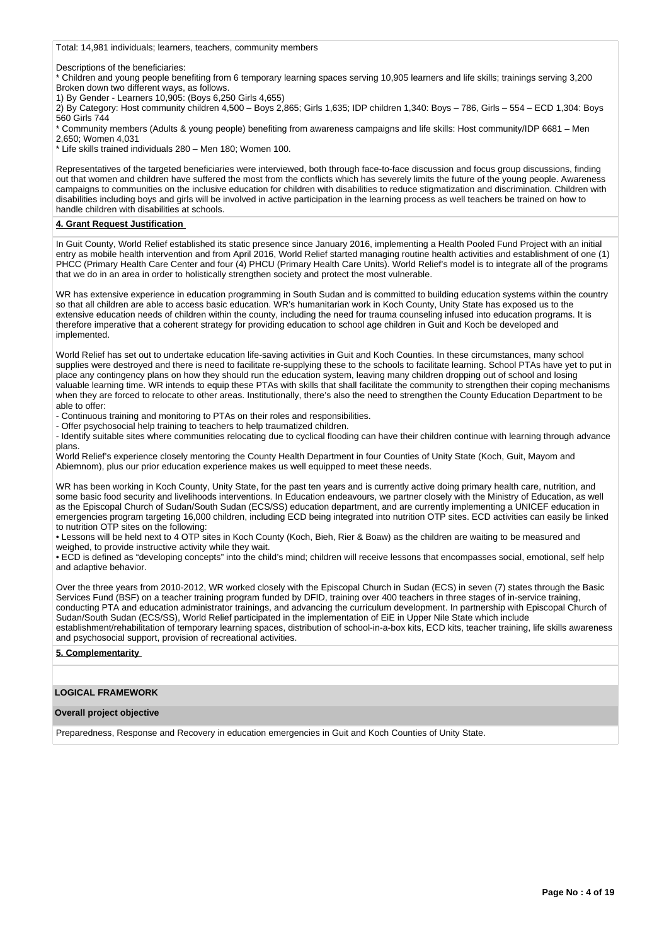Total: 14,981 individuals; learners, teachers, community members

Descriptions of the beneficiaries:

\* Children and young people benefiting from 6 temporary learning spaces serving 10,905 learners and life skills; trainings serving 3,200 Broken down two different ways, as follows.

1) By Gender - Learners 10,905: (Boys 6,250 Girls 4,655)

2) By Category: Host community children 4,500 – Boys 2,865; Girls 1,635; IDP children 1,340: Boys – 786, Girls – 554 – ECD 1,304: Boys 560 Girls 744

\* Community members (Adults & young people) benefiting from awareness campaigns and life skills: Host community/IDP 6681 – Men 2,650; Women 4,031

\* Life skills trained individuals 280 – Men 180; Women 100.

Representatives of the targeted beneficiaries were interviewed, both through face-to-face discussion and focus group discussions, finding out that women and children have suffered the most from the conflicts which has severely limits the future of the young people. Awareness campaigns to communities on the inclusive education for children with disabilities to reduce stigmatization and discrimination. Children with disabilities including boys and girls will be involved in active participation in the learning process as well teachers be trained on how to handle children with disabilities at schools.

#### **4. Grant Request Justification**

In Guit County, World Relief established its static presence since January 2016, implementing a Health Pooled Fund Project with an initial entry as mobile health intervention and from April 2016, World Relief started managing routine health activities and establishment of one (1) PHCC (Primary Health Care Center and four (4) PHCU (Primary Health Care Units). World Relief's model is to integrate all of the programs that we do in an area in order to holistically strengthen society and protect the most vulnerable.

WR has extensive experience in education programming in South Sudan and is committed to building education systems within the country so that all children are able to access basic education. WR's humanitarian work in Koch County, Unity State has exposed us to the extensive education needs of children within the county, including the need for trauma counseling infused into education programs. It is therefore imperative that a coherent strategy for providing education to school age children in Guit and Koch be developed and implemented.

World Relief has set out to undertake education life-saving activities in Guit and Koch Counties. In these circumstances, many school supplies were destroyed and there is need to facilitate re-supplying these to the schools to facilitate learning. School PTAs have yet to put in place any contingency plans on how they should run the education system, leaving many children dropping out of school and losing valuable learning time. WR intends to equip these PTAs with skills that shall facilitate the community to strengthen their coping mechanisms when they are forced to relocate to other areas. Institutionally, there's also the need to strengthen the County Education Department to be able to offer:

- Continuous training and monitoring to PTAs on their roles and responsibilities.

- Offer psychosocial help training to teachers to help traumatized children.

- Identify suitable sites where communities relocating due to cyclical flooding can have their children continue with learning through advance plans

World Relief's experience closely mentoring the County Health Department in four Counties of Unity State (Koch, Guit, Mayom and Abiemnom), plus our prior education experience makes us well equipped to meet these needs.

WR has been working in Koch County, Unity State, for the past ten years and is currently active doing primary health care, nutrition, and some basic food security and livelihoods interventions. In Education endeavours, we partner closely with the Ministry of Education, as well as the Episcopal Church of Sudan/South Sudan (ECS/SS) education department, and are currently implementing a UNICEF education in emergencies program targeting 16,000 children, including ECD being integrated into nutrition OTP sites. ECD activities can easily be linked to nutrition OTP sites on the following:

• Lessons will be held next to 4 OTP sites in Koch County (Koch, Bieh, Rier & Boaw) as the children are waiting to be measured and weighed, to provide instructive activity while they wait.

• ECD is defined as "developing concepts" into the child's mind; children will receive lessons that encompasses social, emotional, self help and adaptive behavior.

Over the three years from 2010-2012, WR worked closely with the Episcopal Church in Sudan (ECS) in seven (7) states through the Basic Services Fund (BSF) on a teacher training program funded by DFID, training over 400 teachers in three stages of in-service training, conducting PTA and education administrator trainings, and advancing the curriculum development. In partnership with Episcopal Church of Sudan/South Sudan (ECS/SS), World Relief participated in the implementation of EiE in Upper Nile State which include establishment/rehabilitation of temporary learning spaces, distribution of school-in-a-box kits, ECD kits, teacher training, life skills awareness and psychosocial support, provision of recreational activities.

### **5. Complementarity**

## **LOGICAL FRAMEWORK**

### **Overall project objective**

Preparedness, Response and Recovery in education emergencies in Guit and Koch Counties of Unity State.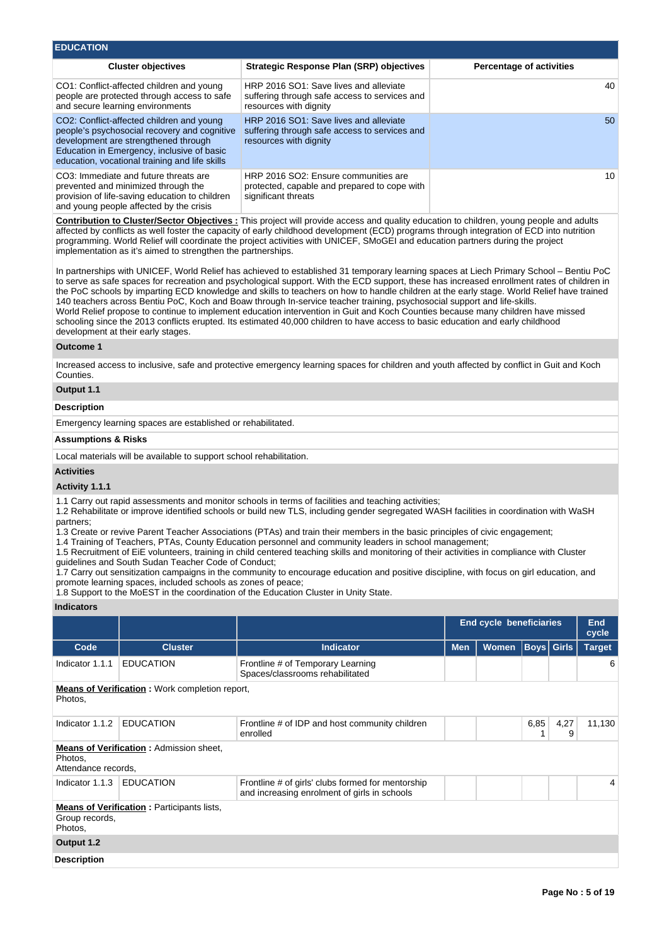| <b>EDUCATION</b>                                                                                                                                                                                                                  |                                                                                                                   |                                 |
|-----------------------------------------------------------------------------------------------------------------------------------------------------------------------------------------------------------------------------------|-------------------------------------------------------------------------------------------------------------------|---------------------------------|
| <b>Cluster objectives</b>                                                                                                                                                                                                         | <b>Strategic Response Plan (SRP) objectives</b>                                                                   | <b>Percentage of activities</b> |
| CO1: Conflict-affected children and young<br>people are protected through access to safe<br>and secure learning environments                                                                                                      | HRP 2016 SO1: Save lives and alleviate<br>suffering through safe access to services and<br>resources with dignity | 40                              |
| CO2: Conflict-affected children and young<br>people's psychosocial recovery and cognitive<br>development are strengthened through<br>Education in Emergency, inclusive of basic<br>education, vocational training and life skills | HRP 2016 SO1: Save lives and alleviate<br>suffering through safe access to services and<br>resources with dignity | 50                              |
| CO3: Immediate and future threats are<br>prevented and minimized through the<br>provision of life-saving education to children<br>and young people affected by the crisis                                                         | HRP 2016 SO2: Ensure communities are<br>protected, capable and prepared to cope with<br>significant threats       | 10                              |

**Contribution to Cluster/Sector Objectives :** This project will provide access and quality education to children, young people and adults affected by conflicts as well foster the capacity of early childhood development (ECD) programs through integration of ECD into nutrition programming. World Relief will coordinate the project activities with UNICEF, SMoGEI and education partners during the project implementation as it's aimed to strengthen the partnerships.

In partnerships with UNICEF, World Relief has achieved to established 31 temporary learning spaces at Liech Primary School – Bentiu PoC to serve as safe spaces for recreation and psychological support. With the ECD support, these has increased enrollment rates of children in the PoC schools by imparting ECD knowledge and skills to teachers on how to handle children at the early stage. World Relief have trained 140 teachers across Bentiu PoC, Koch and Boaw through In-service teacher training, psychosocial support and life-skills. World Relief propose to continue to implement education intervention in Guit and Koch Counties because many children have missed schooling since the 2013 conflicts erupted. Its estimated 40,000 children to have access to basic education and early childhood development at their early stages.

#### **Outcome 1**

Increased access to inclusive, safe and protective emergency learning spaces for children and youth affected by conflict in Guit and Koch Counties.

### **Output 1.1**

#### **Description**

Emergency learning spaces are established or rehabilitated.

#### **Assumptions & Risks**

Local materials will be available to support school rehabilitation.

#### **Activities**

### **Activity 1.1.1**

1.1 Carry out rapid assessments and monitor schools in terms of facilities and teaching activities;

1.2 Rehabilitate or improve identified schools or build new TLS, including gender segregated WASH facilities in coordination with WaSH partners;

1.3 Create or revive Parent Teacher Associations (PTAs) and train their members in the basic principles of civic engagement;

1.4 Training of Teachers, PTAs, County Education personnel and community leaders in school management;

1.5 Recruitment of EiE volunteers, training in child centered teaching skills and monitoring of their activities in compliance with Cluster guidelines and South Sudan Teacher Code of Conduct;

1.7 Carry out sensitization campaigns in the community to encourage education and positive discipline, with focus on girl education, and promote learning spaces, included schools as zones of peace;

1.8 Support to the MoEST in the coordination of the Education Cluster in Unity State.

### **Indicators**

|                                                                                  |                                                   |                                                                                                   | <b>End cycle beneficiaries</b> |              | <b>End</b><br>cycle |           |               |
|----------------------------------------------------------------------------------|---------------------------------------------------|---------------------------------------------------------------------------------------------------|--------------------------------|--------------|---------------------|-----------|---------------|
| Code                                                                             | <b>Cluster</b>                                    | <b>Indicator</b>                                                                                  | <b>Men</b>                     | <b>Women</b> | Boys  Girls         |           | <b>Target</b> |
| Indicator 1.1.1                                                                  | <b>EDUCATION</b>                                  | Frontline # of Temporary Learning<br>Spaces/classrooms rehabilitated                              |                                |              |                     |           | 6             |
| <b>Means of Verification:</b> Work completion report,<br>Photos,                 |                                                   |                                                                                                   |                                |              |                     |           |               |
| Indicator 1.1.2                                                                  | <b>EDUCATION</b>                                  | Frontline # of IDP and host community children<br>enrolled                                        |                                |              | 6,85                | 4,27<br>9 | 11,130        |
| <b>Means of Verification:</b> Admission sheet,<br>Photos,<br>Attendance records. |                                                   |                                                                                                   |                                |              |                     |           |               |
| Indicator 1.1.3                                                                  | <b>EDUCATION</b>                                  | Frontline # of girls' clubs formed for mentorship<br>and increasing enrolment of girls in schools |                                |              |                     |           | 4             |
| Group records,<br>Photos,                                                        | <b>Means of Verification:</b> Participants lists, |                                                                                                   |                                |              |                     |           |               |
| Output 1.2                                                                       |                                                   |                                                                                                   |                                |              |                     |           |               |
| <b>Description</b>                                                               |                                                   |                                                                                                   |                                |              |                     |           |               |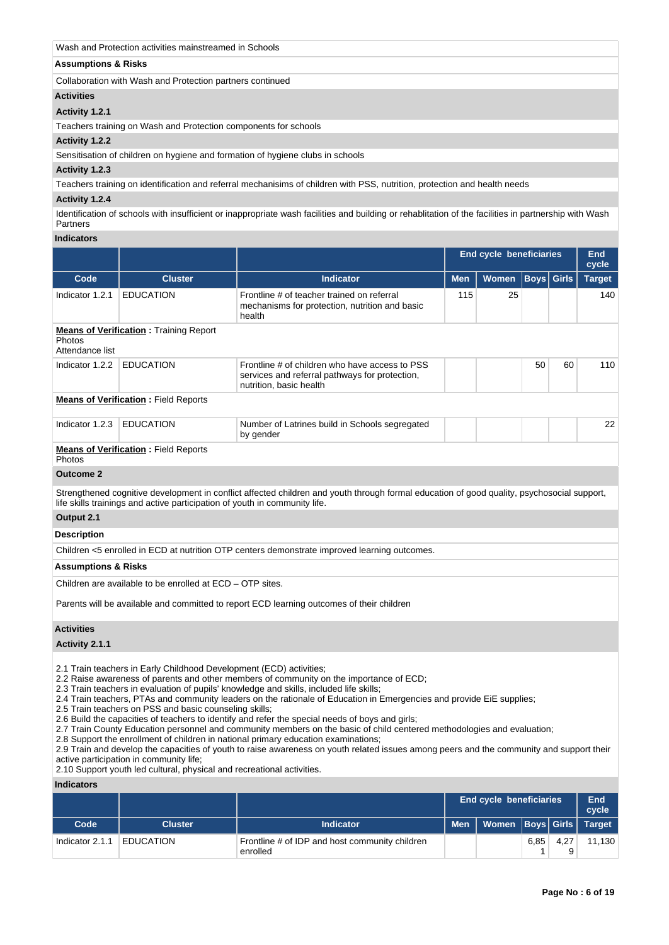| Wash and Protection activities mainstreamed in Schools          |  |
|-----------------------------------------------------------------|--|
| <b>Assumptions &amp; Risks</b>                                  |  |
| Collaboration with Wash and Protection partners continued       |  |
| <b>Activities</b>                                               |  |
| Activity 1.2.1                                                  |  |
| Teachers training on Wash and Protection components for schools |  |
| Activity 1.2.2                                                  |  |

Sensitisation of children on hygiene and formation of hygiene clubs in schools

### **Activity 1.2.3**

Teachers training on identification and referral mechanisims of children with PSS, nutrition, protection and health needs

#### **Activity 1.2.4**

Identification of schools with insufficient or inappropriate wash facilities and building or rehablitation of the facilities in partnership with Wash Partners

### **Indicators**

|                                                                                                                                                                                                                          |                                               |                                                                                                                             |            | <b>End cycle beneficiaries</b> |    |                   | End<br>cycle  |
|--------------------------------------------------------------------------------------------------------------------------------------------------------------------------------------------------------------------------|-----------------------------------------------|-----------------------------------------------------------------------------------------------------------------------------|------------|--------------------------------|----|-------------------|---------------|
| Code                                                                                                                                                                                                                     | <b>Cluster</b>                                | <b>Indicator</b>                                                                                                            | <b>Men</b> | Women                          |    | <b>Boys</b> Girls | <b>Target</b> |
| Indicator 1.2.1                                                                                                                                                                                                          | <b>EDUCATION</b>                              | Frontline # of teacher trained on referral<br>mechanisms for protection, nutrition and basic<br>health                      | 115        | 25                             |    |                   | 140           |
| <b>Photos</b><br>Attendance list                                                                                                                                                                                         | <b>Means of Verification:</b> Training Report |                                                                                                                             |            |                                |    |                   |               |
| Indicator 1.2.2                                                                                                                                                                                                          | <b>EDUCATION</b>                              | Frontline # of children who have access to PSS<br>services and referral pathways for protection,<br>nutrition, basic health |            |                                | 50 | 60                | 110           |
|                                                                                                                                                                                                                          | <b>Means of Verification:</b> Field Reports   |                                                                                                                             |            |                                |    |                   |               |
| Indicator 1.2.3                                                                                                                                                                                                          | <b>EDUCATION</b>                              | Number of Latrines build in Schools segregated<br>by gender                                                                 |            |                                |    |                   | 22            |
| <b>Photos</b>                                                                                                                                                                                                            | <b>Means of Verification:</b> Field Reports   |                                                                                                                             |            |                                |    |                   |               |
| <b>Outcome 2</b>                                                                                                                                                                                                         |                                               |                                                                                                                             |            |                                |    |                   |               |
| Strengthened cognitive development in conflict affected children and youth through formal education of good quality, psychosocial support,<br>life skills trainings and active participation of youth in community life. |                                               |                                                                                                                             |            |                                |    |                   |               |

### **Output 2.1**

**Description**

Children <5 enrolled in ECD at nutrition OTP centers demonstrate improved learning outcomes.

#### **Assumptions & Risks**

Children are available to be enrolled at ECD – OTP sites.

Parents will be available and committed to report ECD learning outcomes of their children

#### **Activities**

### **Activity 2.1.1**

2.1 Train teachers in Early Childhood Development (ECD) activities;

2.2 Raise awareness of parents and other members of community on the importance of ECD;

2.3 Train teachers in evaluation of pupils' knowledge and skills, included life skills;

2.4 Train teachers, PTAs and community leaders on the rationale of Education in Emergencies and provide EiE supplies;

2.5 Train teachers on PSS and basic counseling skills;

2.6 Build the capacities of teachers to identify and refer the special needs of boys and girls;

2.7 Train County Education personnel and community members on the basic of child centered methodologies and evaluation;

2.8 Support the enrollment of children in national primary education examinations;

2.9 Train and develop the capacities of youth to raise awareness on youth related issues among peers and the community and support their active participation in community life;

2.10 Support youth led cultural, physical and recreational activities.

#### **Indicators**

|                 |                  |                                                            | <b>End cycle beneficiaries</b> |                             | <b>End</b><br>cycle |      |        |
|-----------------|------------------|------------------------------------------------------------|--------------------------------|-----------------------------|---------------------|------|--------|
| Code            | <b>Cluster</b>   | Indicator                                                  | <b>Men</b>                     | Women  Boys  Girls   Target |                     |      |        |
| Indicator 2.1.1 | <b>EDUCATION</b> | Frontline # of IDP and host community children<br>enrolled |                                |                             | 6,85                | 4.27 | 11.130 |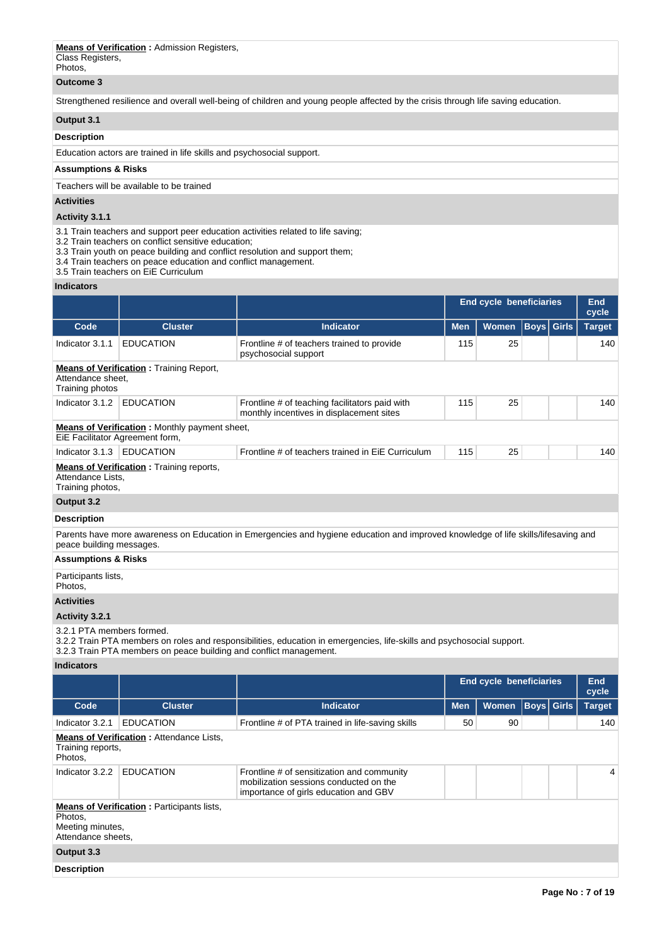# **Means of Verification :** Admission Registers,

Class Registers, Photos,

### **Outcome 3**

Strengthened resilience and overall well-being of children and young people affected by the crisis through life saving education.

## **Output 3.1**

### **Description**

Education actors are trained in life skills and psychosocial support.

## **Assumptions & Risks**

Teachers will be available to be trained

### **Activities**

### **Activity 3.1.1**

3.1 Train teachers and support peer education activities related to life saving;

3.2 Train teachers on conflict sensitive education;

3.3 Train youth on peace building and conflict resolution and support them;

- 3.4 Train teachers on peace education and conflict management.
- 3.5 Train teachers on EiE Curriculum

### **Indicators**

| iliulualui 5                                                                           |                                                      |                                                                                            |                                |              |                   |  |                     |
|----------------------------------------------------------------------------------------|------------------------------------------------------|--------------------------------------------------------------------------------------------|--------------------------------|--------------|-------------------|--|---------------------|
|                                                                                        |                                                      |                                                                                            | <b>End cycle beneficiaries</b> |              |                   |  | <b>End</b><br>cycle |
| Code                                                                                   | <b>Cluster</b>                                       | <b>Indicator</b>                                                                           | <b>Men</b>                     | <b>Women</b> | <b>Boys Girls</b> |  | <b>Target</b>       |
| Indicator 3.1.1                                                                        | <b>EDUCATION</b>                                     | Frontline # of teachers trained to provide<br>psychosocial support                         | 115                            | 25           |                   |  | 140                 |
| <b>Means of Verification:</b> Training Report,<br>Attendance sheet,<br>Training photos |                                                      |                                                                                            |                                |              |                   |  |                     |
| Indicator 3.1.2                                                                        | <b>EDUCATION</b>                                     | Frontline # of teaching facilitators paid with<br>monthly incentives in displacement sites | 115                            | 25           |                   |  | 140                 |
| EiE Facilitator Agreement form,                                                        | <b>Means of Verification:</b> Monthly payment sheet, |                                                                                            |                                |              |                   |  |                     |
| Indicator 3.1.3                                                                        | <b>EDUCATION</b>                                     | Frontline # of teachers trained in EiE Curriculum                                          | 115                            | 25           |                   |  | 140                 |
| Attendance Lists,<br>Training photos,                                                  | <b>Means of Verification:</b> Training reports,      |                                                                                            |                                |              |                   |  |                     |
| Output 3.2                                                                             |                                                      |                                                                                            |                                |              |                   |  |                     |
|                                                                                        |                                                      |                                                                                            |                                |              |                   |  |                     |

### **Description**

Parents have more awareness on Education in Emergencies and hygiene education and improved knowledge of life skills/lifesaving and peace building messages.

### **Assumptions & Risks**

Participants lists,

Photos,

### **Activities**

### **Activity 3.2.1**

3.2.1 PTA members formed.

3.2.2 Train PTA members on roles and responsibilities, education in emergencies, life-skills and psychosocial support.

3.2.3 Train PTA members on peace building and conflict management.

## **Indicators**

|                                                   |                                                   |                                                                                                                               |            | <b>End cycle beneficiaries</b> |                   | End<br>cycle  |
|---------------------------------------------------|---------------------------------------------------|-------------------------------------------------------------------------------------------------------------------------------|------------|--------------------------------|-------------------|---------------|
| Code                                              | <b>Cluster</b>                                    | <b>Indicator</b>                                                                                                              | <b>Men</b> | <b>Women</b>                   | <b>Boys</b> Girls | <b>Target</b> |
| Indicator 3.2.1                                   | <b>EDUCATION</b>                                  | Frontline # of PTA trained in life-saving skills                                                                              | 50         | 90                             |                   | 140           |
| Training reports,<br>Photos,                      | <b>Means of Verification:</b> Attendance Lists,   |                                                                                                                               |            |                                |                   |               |
| Indicator 3.2.2                                   | <b>EDUCATION</b>                                  | Frontline # of sensitization and community<br>mobilization sessions conducted on the<br>importance of girls education and GBV |            | 4                              |                   |               |
| Photos,<br>Meeting minutes,<br>Attendance sheets. | <b>Means of Verification: Participants lists,</b> |                                                                                                                               |            |                                |                   |               |
| Output 3.3                                        |                                                   |                                                                                                                               |            |                                |                   |               |
| <b>Description</b>                                |                                                   |                                                                                                                               |            |                                |                   |               |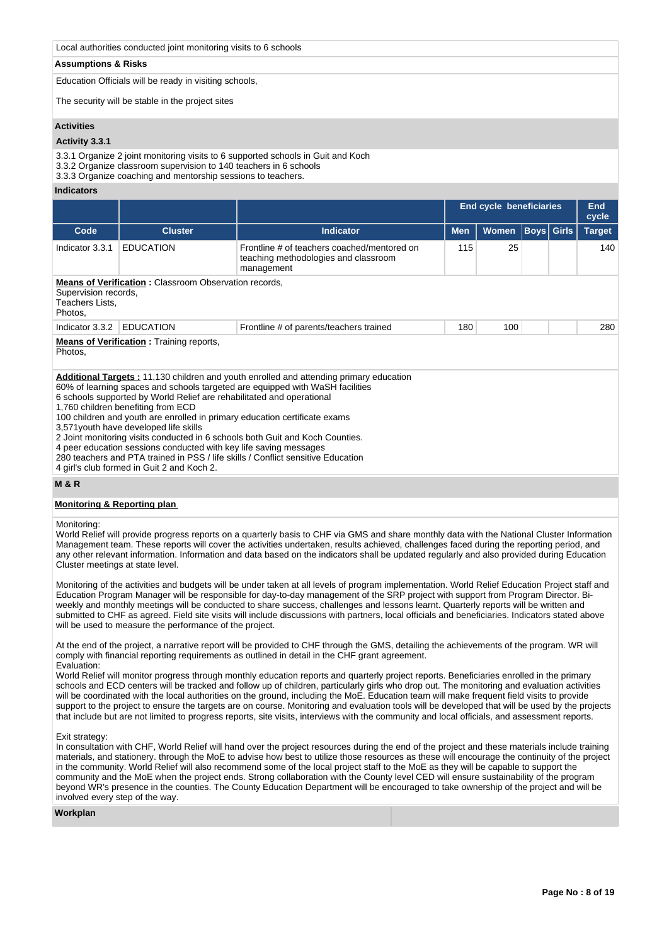### Local authorities conducted joint monitoring visits to 6 schools

#### **Assumptions & Risks**

Education Officials will be ready in visiting schools,

The security will be stable in the project sites

#### **Activities**

### **Activity 3.3.1**

3.3.1 Organize 2 joint monitoring visits to 6 supported schools in Guit and Koch

3.3.2 Organize classroom supervision to 140 teachers in 6 schools

3.3.3 Organize coaching and mentorship sessions to teachers.

#### **Indicators**

|                                                                                                                                                              |                                                                                      |                                                                                                                                                                                | <b>End cycle beneficiaries</b> | End<br>cycle |  |                   |               |  |  |  |
|--------------------------------------------------------------------------------------------------------------------------------------------------------------|--------------------------------------------------------------------------------------|--------------------------------------------------------------------------------------------------------------------------------------------------------------------------------|--------------------------------|--------------|--|-------------------|---------------|--|--|--|
| Code                                                                                                                                                         | <b>Cluster</b>                                                                       | Indicator                                                                                                                                                                      | <b>Men</b>                     | <b>Women</b> |  | <b>Boys</b> Girls | <b>Target</b> |  |  |  |
| 115<br>25<br><b>EDUCATION</b><br>Frontline # of teachers coached/mentored on<br>140<br>Indicator 3.3.1<br>teaching methodologies and classroom<br>management |                                                                                      |                                                                                                                                                                                |                                |              |  |                   |               |  |  |  |
| Teachers Lists,<br>Photos,                                                                                                                                   | <b>Means of Verification: Classroom Observation records,</b><br>Supervision records, |                                                                                                                                                                                |                                |              |  |                   |               |  |  |  |
| Indicator 3.3.2                                                                                                                                              | <b>EDUCATION</b>                                                                     | Frontline # of parents/teachers trained                                                                                                                                        | 180                            | 100          |  |                   | 280           |  |  |  |
| <b>Means of Verification:</b> Training reports,<br>Photos,                                                                                                   |                                                                                      |                                                                                                                                                                                |                                |              |  |                   |               |  |  |  |
|                                                                                                                                                              | 6 schools supported by World Relief are rehabilitated and operational<br>.           | <b>Additional Targets: 11,130 children and youth enrolled and attending primary education</b><br>60% of learning spaces and schools targeted are equipped with WaSH facilities |                                |              |  |                   |               |  |  |  |

1,760 children benefiting from ECD

100 children and youth are enrolled in primary education certificate exams

3,571youth have developed life skills

2 Joint monitoring visits conducted in 6 schools both Guit and Koch Counties.

4 peer education sessions conducted with key life saving messages

280 teachers and PTA trained in PSS / life skills / Conflict sensitive Education

4 girl's club formed in Guit 2 and Koch 2.

### **M & R**

#### **Monitoring & Reporting plan**

#### Monitoring:

World Relief will provide progress reports on a quarterly basis to CHF via GMS and share monthly data with the National Cluster Information Management team. These reports will cover the activities undertaken, results achieved, challenges faced during the reporting period, and any other relevant information. Information and data based on the indicators shall be updated regularly and also provided during Education Cluster meetings at state level.

Monitoring of the activities and budgets will be under taken at all levels of program implementation. World Relief Education Project staff and Education Program Manager will be responsible for day-to-day management of the SRP project with support from Program Director. Biweekly and monthly meetings will be conducted to share success, challenges and lessons learnt. Quarterly reports will be written and submitted to CHF as agreed. Field site visits will include discussions with partners, local officials and beneficiaries. Indicators stated above will be used to measure the performance of the project.

At the end of the project, a narrative report will be provided to CHF through the GMS, detailing the achievements of the program. WR will comply with financial reporting requirements as outlined in detail in the CHF grant agreement. Evaluation:

World Relief will monitor progress through monthly education reports and quarterly project reports. Beneficiaries enrolled in the primary schools and ECD centers will be tracked and follow up of children, particularly girls who drop out. The monitoring and evaluation activities will be coordinated with the local authorities on the ground, including the MoE. Education team will make frequent field visits to provide support to the project to ensure the targets are on course. Monitoring and evaluation tools will be developed that will be used by the projects that include but are not limited to progress reports, site visits, interviews with the community and local officials, and assessment reports.

#### Exit strategy:

In consultation with CHF, World Relief will hand over the project resources during the end of the project and these materials include training materials, and stationery. through the MoE to advise how best to utilize those resources as these will encourage the continuity of the project in the community. World Relief will also recommend some of the local project staff to the MoE as they will be capable to support the community and the MoE when the project ends. Strong collaboration with the County level CED will ensure sustainability of the program beyond WR's presence in the counties. The County Education Department will be encouraged to take ownership of the project and will be involved every step of the way.

#### **Workplan**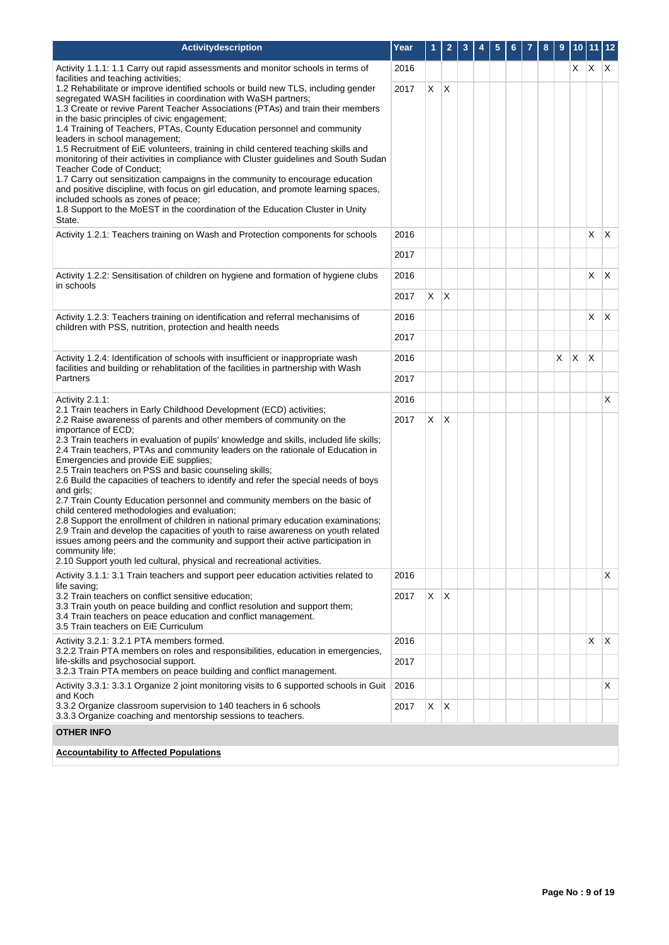| <b>Activitydescription</b>                                                                                                                                                                                                                                                                                                                                                                                                                                                                                                                                                                                                                                                                                                                                                                                                                                                                                                                                                                                                                                       | Year         | 1.      | $\overline{2}$ | 3 | 4 | 5 | 6 | 7 | 8 | 9 |   | 10 11 12       |              |
|------------------------------------------------------------------------------------------------------------------------------------------------------------------------------------------------------------------------------------------------------------------------------------------------------------------------------------------------------------------------------------------------------------------------------------------------------------------------------------------------------------------------------------------------------------------------------------------------------------------------------------------------------------------------------------------------------------------------------------------------------------------------------------------------------------------------------------------------------------------------------------------------------------------------------------------------------------------------------------------------------------------------------------------------------------------|--------------|---------|----------------|---|---|---|---|---|---|---|---|----------------|--------------|
| Activity 1.1.1: 1.1 Carry out rapid assessments and monitor schools in terms of                                                                                                                                                                                                                                                                                                                                                                                                                                                                                                                                                                                                                                                                                                                                                                                                                                                                                                                                                                                  | 2016         |         |                |   |   |   |   |   |   |   | X | X.             | $\mathsf{X}$ |
| facilities and teaching activities;<br>1.2 Rehabilitate or improve identified schools or build new TLS, including gender<br>segregated WASH facilities in coordination with WaSH partners;<br>1.3 Create or revive Parent Teacher Associations (PTAs) and train their members<br>in the basic principles of civic engagement;<br>1.4 Training of Teachers, PTAs, County Education personnel and community<br>leaders in school management;<br>1.5 Recruitment of EiE volunteers, training in child centered teaching skills and<br>monitoring of their activities in compliance with Cluster guidelines and South Sudan<br>Teacher Code of Conduct;<br>1.7 Carry out sensitization campaigns in the community to encourage education<br>and positive discipline, with focus on girl education, and promote learning spaces,<br>included schools as zones of peace;                                                                                                                                                                                               | 2017         | X       | X              |   |   |   |   |   |   |   |   |                |              |
| 1.8 Support to the MoEST in the coordination of the Education Cluster in Unity<br>State.                                                                                                                                                                                                                                                                                                                                                                                                                                                                                                                                                                                                                                                                                                                                                                                                                                                                                                                                                                         |              |         |                |   |   |   |   |   |   |   |   |                |              |
| Activity 1.2.1: Teachers training on Wash and Protection components for schools                                                                                                                                                                                                                                                                                                                                                                                                                                                                                                                                                                                                                                                                                                                                                                                                                                                                                                                                                                                  | 2016         |         |                |   |   |   |   |   |   |   |   | X.             | $\mathsf{X}$ |
|                                                                                                                                                                                                                                                                                                                                                                                                                                                                                                                                                                                                                                                                                                                                                                                                                                                                                                                                                                                                                                                                  | 2017         |         |                |   |   |   |   |   |   |   |   |                |              |
| Activity 1.2.2: Sensitisation of children on hygiene and formation of hygiene clubs<br>in schools                                                                                                                                                                                                                                                                                                                                                                                                                                                                                                                                                                                                                                                                                                                                                                                                                                                                                                                                                                | 2016         |         |                |   |   |   |   |   |   |   |   | $X$ $\mid$ $X$ |              |
|                                                                                                                                                                                                                                                                                                                                                                                                                                                                                                                                                                                                                                                                                                                                                                                                                                                                                                                                                                                                                                                                  | 2017         | X.      | $\mathsf{X}$   |   |   |   |   |   |   |   |   |                |              |
| Activity 1.2.3: Teachers training on identification and referral mechanisims of<br>children with PSS, nutrition, protection and health needs                                                                                                                                                                                                                                                                                                                                                                                                                                                                                                                                                                                                                                                                                                                                                                                                                                                                                                                     | 2016         |         |                |   |   |   |   |   |   |   |   | X.             | $\mathsf{X}$ |
|                                                                                                                                                                                                                                                                                                                                                                                                                                                                                                                                                                                                                                                                                                                                                                                                                                                                                                                                                                                                                                                                  |              |         |                |   |   |   |   |   |   |   |   |                |              |
| Activity 1.2.4: Identification of schools with insufficient or inappropriate wash                                                                                                                                                                                                                                                                                                                                                                                                                                                                                                                                                                                                                                                                                                                                                                                                                                                                                                                                                                                | 2016         |         |                |   |   |   |   |   |   | X | X | ΙX.            |              |
| facilities and building or rehablitation of the facilities in partnership with Wash<br>Partners                                                                                                                                                                                                                                                                                                                                                                                                                                                                                                                                                                                                                                                                                                                                                                                                                                                                                                                                                                  |              |         |                |   |   |   |   |   |   |   |   |                |              |
| Activity $2.1.1$ :<br>2.1 Train teachers in Early Childhood Development (ECD) activities;                                                                                                                                                                                                                                                                                                                                                                                                                                                                                                                                                                                                                                                                                                                                                                                                                                                                                                                                                                        | 2016         |         |                |   |   |   |   |   |   |   |   |                | X            |
| 2.2 Raise awareness of parents and other members of community on the<br>importance of ECD;<br>2.3 Train teachers in evaluation of pupils' knowledge and skills, included life skills;<br>2.4 Train teachers, PTAs and community leaders on the rationale of Education in<br>Emergencies and provide EiE supplies;<br>2.5 Train teachers on PSS and basic counseling skills;<br>2.6 Build the capacities of teachers to identify and refer the special needs of boys<br>and girls;<br>2.7 Train County Education personnel and community members on the basic of<br>child centered methodologies and evaluation;<br>2.8 Support the enrollment of children in national primary education examinations;<br>2.9 Train and develop the capacities of youth to raise awareness on youth related<br>issues among peers and the community and support their active participation in<br>community life;<br>2.10 Support youth led cultural, physical and recreational activities.<br>Activity 3.1.1: 3.1 Train teachers and support peer education activities related to | 2017<br>2016 | X.      | $\mathsf{X}$   |   |   |   |   |   |   |   |   |                | X.           |
| life saving;                                                                                                                                                                                                                                                                                                                                                                                                                                                                                                                                                                                                                                                                                                                                                                                                                                                                                                                                                                                                                                                     |              |         |                |   |   |   |   |   |   |   |   |                |              |
| 3.2 Train teachers on conflict sensitive education;<br>3.3 Train youth on peace building and conflict resolution and support them;<br>3.4 Train teachers on peace education and conflict management.<br>3.5 Train teachers on EiE Curriculum                                                                                                                                                                                                                                                                                                                                                                                                                                                                                                                                                                                                                                                                                                                                                                                                                     | 2017         | $X$ $X$ |                |   |   |   |   |   |   |   |   |                |              |
| Activity 3.2.1: 3.2.1 PTA members formed.<br>3.2.2 Train PTA members on roles and responsibilities, education in emergencies,                                                                                                                                                                                                                                                                                                                                                                                                                                                                                                                                                                                                                                                                                                                                                                                                                                                                                                                                    | 2016         |         |                |   |   |   |   |   |   |   |   | X              | ΙX.          |
| life-skills and psychosocial support.<br>3.2.3 Train PTA members on peace building and conflict management.                                                                                                                                                                                                                                                                                                                                                                                                                                                                                                                                                                                                                                                                                                                                                                                                                                                                                                                                                      | 2017         |         |                |   |   |   |   |   |   |   |   |                |              |
| Activity 3.3.1: 3.3.1 Organize 2 joint monitoring visits to 6 supported schools in Guit<br>and Koch                                                                                                                                                                                                                                                                                                                                                                                                                                                                                                                                                                                                                                                                                                                                                                                                                                                                                                                                                              | 2016         |         |                |   |   |   |   |   |   |   |   |                | X.           |
| 3.3.2 Organize classroom supervision to 140 teachers in 6 schools<br>3.3.3 Organize coaching and mentorship sessions to teachers.                                                                                                                                                                                                                                                                                                                                                                                                                                                                                                                                                                                                                                                                                                                                                                                                                                                                                                                                | 2017         | X       | $\mathsf{X}$   |   |   |   |   |   |   |   |   |                |              |
| <b>OTHER INFO</b>                                                                                                                                                                                                                                                                                                                                                                                                                                                                                                                                                                                                                                                                                                                                                                                                                                                                                                                                                                                                                                                |              |         |                |   |   |   |   |   |   |   |   |                |              |
| <b>Accountability to Affected Populations</b>                                                                                                                                                                                                                                                                                                                                                                                                                                                                                                                                                                                                                                                                                                                                                                                                                                                                                                                                                                                                                    |              |         |                |   |   |   |   |   |   |   |   |                |              |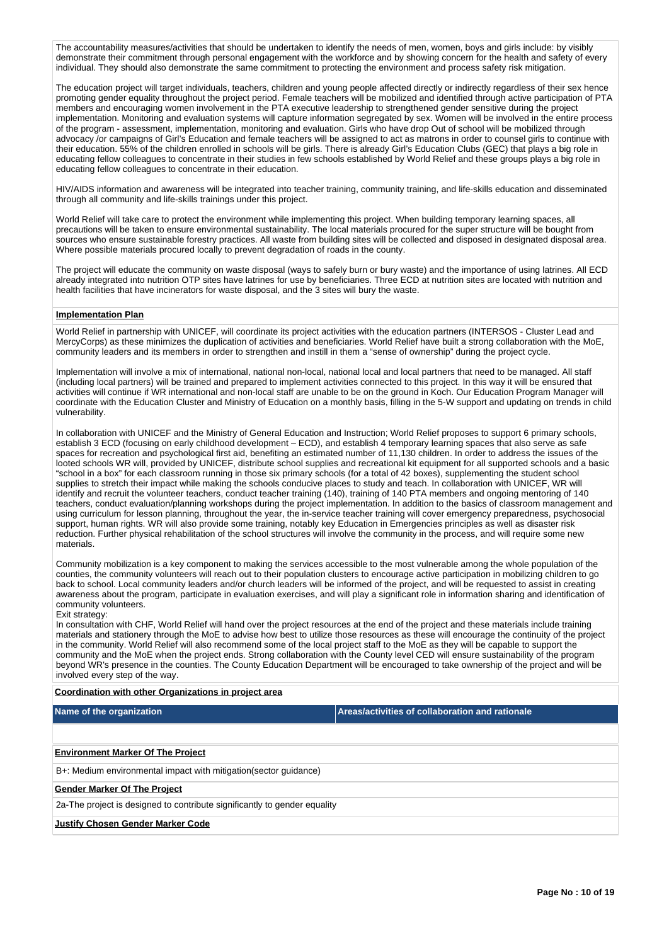The accountability measures/activities that should be undertaken to identify the needs of men, women, boys and girls include: by visibly demonstrate their commitment through personal engagement with the workforce and by showing concern for the health and safety of every individual. They should also demonstrate the same commitment to protecting the environment and process safety risk mitigation.

The education project will target individuals, teachers, children and young people affected directly or indirectly regardless of their sex hence promoting gender equality throughout the project period. Female teachers will be mobilized and identified through active participation of PTA members and encouraging women involvement in the PTA executive leadership to strengthened gender sensitive during the project implementation. Monitoring and evaluation systems will capture information segregated by sex. Women will be involved in the entire process of the program - assessment, implementation, monitoring and evaluation. Girls who have drop Out of school will be mobilized through advocacy /or campaigns of Girl's Education and female teachers will be assigned to act as matrons in order to counsel girls to continue with their education. 55% of the children enrolled in schools will be girls. There is already Girl's Education Clubs (GEC) that plays a big role in educating fellow colleagues to concentrate in their studies in few schools established by World Relief and these groups plays a big role in educating fellow colleagues to concentrate in their education.

HIV/AIDS information and awareness will be integrated into teacher training, community training, and life-skills education and disseminated through all community and life-skills trainings under this project.

World Relief will take care to protect the environment while implementing this project. When building temporary learning spaces, all precautions will be taken to ensure environmental sustainability. The local materials procured for the super structure will be bought from sources who ensure sustainable forestry practices. All waste from building sites will be collected and disposed in designated disposal area. Where possible materials procured locally to prevent degradation of roads in the county.

The project will educate the community on waste disposal (ways to safely burn or bury waste) and the importance of using latrines. All ECD already integrated into nutrition OTP sites have latrines for use by beneficiaries. Three ECD at nutrition sites are located with nutrition and health facilities that have incinerators for waste disposal, and the 3 sites will bury the waste.

### **Implementation Plan**

World Relief in partnership with UNICEF, will coordinate its project activities with the education partners (INTERSOS - Cluster Lead and MercyCorps) as these minimizes the duplication of activities and beneficiaries. World Relief have built a strong collaboration with the MoE, community leaders and its members in order to strengthen and instill in them a "sense of ownership" during the project cycle.

Implementation will involve a mix of international, national non-local, national local and local partners that need to be managed. All staff (including local partners) will be trained and prepared to implement activities connected to this project. In this way it will be ensured that activities will continue if WR international and non-local staff are unable to be on the ground in Koch. Our Education Program Manager will coordinate with the Education Cluster and Ministry of Education on a monthly basis, filling in the 5-W support and updating on trends in child vulnerability.

In collaboration with UNICEF and the Ministry of General Education and Instruction; World Relief proposes to support 6 primary schools, establish 3 ECD (focusing on early childhood development – ECD), and establish 4 temporary learning spaces that also serve as safe spaces for recreation and psychological first aid, benefiting an estimated number of 11,130 children. In order to address the issues of the looted schools WR will, provided by UNICEF, distribute school supplies and recreational kit equipment for all supported schools and a basic "school in a box" for each classroom running in those six primary schools (for a total of 42 boxes), supplementing the student school supplies to stretch their impact while making the schools conducive places to study and teach. In collaboration with UNICEF, WR will identify and recruit the volunteer teachers, conduct teacher training (140), training of 140 PTA members and ongoing mentoring of 140 teachers, conduct evaluation/planning workshops during the project implementation. In addition to the basics of classroom management and using curriculum for lesson planning, throughout the year, the in-service teacher training will cover emergency preparedness, psychosocial support, human rights. WR will also provide some training, notably key Education in Emergencies principles as well as disaster risk reduction. Further physical rehabilitation of the school structures will involve the community in the process, and will require some new materials.

Community mobilization is a key component to making the services accessible to the most vulnerable among the whole population of the counties, the community volunteers will reach out to their population clusters to encourage active participation in mobilizing children to go back to school. Local community leaders and/or church leaders will be informed of the project, and will be requested to assist in creating awareness about the program, participate in evaluation exercises, and will play a significant role in information sharing and identification of community volunteers.

#### Exit strategy:

In consultation with CHF, World Relief will hand over the project resources at the end of the project and these materials include training materials and stationery through the MoE to advise how best to utilize those resources as these will encourage the continuity of the project in the community. World Relief will also recommend some of the local project staff to the MoE as they will be capable to support the community and the MoE when the project ends. Strong collaboration with the County level CED will ensure sustainability of the program beyond WR's presence in the counties. The County Education Department will be encouraged to take ownership of the project and will be involved every step of the way.

### **Coordination with other Organizations in project area**

**Name of the organization Areas/activities of collaboration and rationale** 

## **Environment Marker Of The Project**

B+: Medium environmental impact with mitigation(sector guidance)

### **Gender Marker Of The Project**

2a-The project is designed to contribute significantly to gender equality

#### **Justify Chosen Gender Marker Code**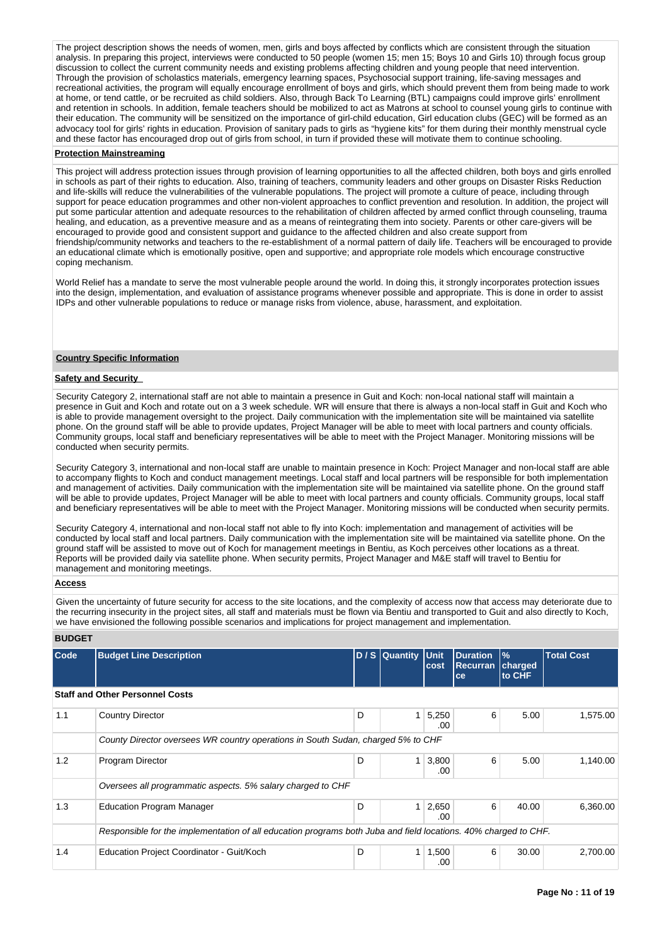The project description shows the needs of women, men, girls and boys affected by conflicts which are consistent through the situation analysis. In preparing this project, interviews were conducted to 50 people (women 15; men 15; Boys 10 and Girls 10) through focus group discussion to collect the current community needs and existing problems affecting children and young people that need intervention. Through the provision of scholastics materials, emergency learning spaces, Psychosocial support training, life-saving messages and recreational activities, the program will equally encourage enrollment of boys and girls, which should prevent them from being made to work at home, or tend cattle, or be recruited as child soldiers. Also, through Back To Learning (BTL) campaigns could improve girls' enrollment and retention in schools. In addition, female teachers should be mobilized to act as Matrons at school to counsel young girls to continue with their education. The community will be sensitized on the importance of girl-child education, Girl education clubs (GEC) will be formed as an advocacy tool for girls' rights in education. Provision of sanitary pads to girls as "hygiene kits" for them during their monthly menstrual cycle and these factor has encouraged drop out of girls from school, in turn if provided these will motivate them to continue schooling.

#### **Protection Mainstreaming**

This project will address protection issues through provision of learning opportunities to all the affected children, both boys and girls enrolled in schools as part of their rights to education. Also, training of teachers, community leaders and other groups on Disaster Risks Reduction and life-skills will reduce the vulnerabilities of the vulnerable populations. The project will promote a culture of peace, including through support for peace education programmes and other non-violent approaches to conflict prevention and resolution. In addition, the project will put some particular attention and adequate resources to the rehabilitation of children affected by armed conflict through counseling, trauma healing, and education, as a preventive measure and as a means of reintegrating them into society. Parents or other care-givers will be encouraged to provide good and consistent support and guidance to the affected children and also create support from friendship/community networks and teachers to the re-establishment of a normal pattern of daily life. Teachers will be encouraged to provide an educational climate which is emotionally positive, open and supportive; and appropriate role models which encourage constructive coping mechanism.

World Relief has a mandate to serve the most vulnerable people around the world. In doing this, it strongly incorporates protection issues into the design, implementation, and evaluation of assistance programs whenever possible and appropriate. This is done in order to assist IDPs and other vulnerable populations to reduce or manage risks from violence, abuse, harassment, and exploitation.

### **Country Specific Information**

#### **Safety and Security**

Security Category 2, international staff are not able to maintain a presence in Guit and Koch: non-local national staff will maintain a presence in Guit and Koch and rotate out on a 3 week schedule. WR will ensure that there is always a non-local staff in Guit and Koch who is able to provide management oversight to the project. Daily communication with the implementation site will be maintained via satellite phone. On the ground staff will be able to provide updates, Project Manager will be able to meet with local partners and county officials. Community groups, local staff and beneficiary representatives will be able to meet with the Project Manager. Monitoring missions will be conducted when security permits.

Security Category 3, international and non-local staff are unable to maintain presence in Koch: Project Manager and non-local staff are able to accompany flights to Koch and conduct management meetings. Local staff and local partners will be responsible for both implementation and management of activities. Daily communication with the implementation site will be maintained via satellite phone. On the ground staff will be able to provide updates, Project Manager will be able to meet with local partners and county officials. Community groups, local staff and beneficiary representatives will be able to meet with the Project Manager. Monitoring missions will be conducted when security permits.

Security Category 4, international and non-local staff not able to fly into Koch: implementation and management of activities will be conducted by local staff and local partners. Daily communication with the implementation site will be maintained via satellite phone. On the ground staff will be assisted to move out of Koch for management meetings in Bentiu, as Koch perceives other locations as a threat. Reports will be provided daily via satellite phone. When security permits, Project Manager and M&E staff will travel to Bentiu for management and monitoring meetings.

### **Access**

Given the uncertainty of future security for access to the site locations, and the complexity of access now that access may deteriorate due to the recurring insecurity in the project sites, all staff and materials must be flown via Bentiu and transported to Guit and also directly to Koch, we have envisioned the following possible scenarios and implications for project management and implementation.

### **BUDGET**

| Code | <b>Budget Line Description</b>                                                                                  |   | D / S Quantity | Unit<br>cost  | <b>Duration</b><br><b>Recurran</b><br>ce | $\frac{9}{6}$<br>charged<br>to CHF | <b>Total Cost</b> |
|------|-----------------------------------------------------------------------------------------------------------------|---|----------------|---------------|------------------------------------------|------------------------------------|-------------------|
|      | <b>Staff and Other Personnel Costs</b>                                                                          |   |                |               |                                          |                                    |                   |
| 1.1  | <b>Country Director</b>                                                                                         | D | $\mathbf{1}$   | 5,250<br>.00. | 6                                        | 5.00                               | 1,575.00          |
|      | County Director oversees WR country operations in South Sudan, charged 5% to CHF                                |   |                |               |                                          |                                    |                   |
| 1.2  | Program Director                                                                                                | D | 1 <sub>1</sub> | 3,800<br>.00  | 6                                        | 5.00                               | 1,140.00          |
|      | Oversees all programmatic aspects. 5% salary charged to CHF                                                     |   |                |               |                                          |                                    |                   |
| 1.3  | <b>Education Program Manager</b>                                                                                | D | 1              | 2,650<br>.00  | 6                                        | 40.00                              | 6,360.00          |
|      | Responsible for the implementation of all education programs both Juba and field locations. 40% charged to CHF. |   |                |               |                                          |                                    |                   |
| 1.4  | Education Project Coordinator - Guit/Koch                                                                       | D |                | 1,500<br>.00  | 6                                        | 30.00                              | 2,700.00          |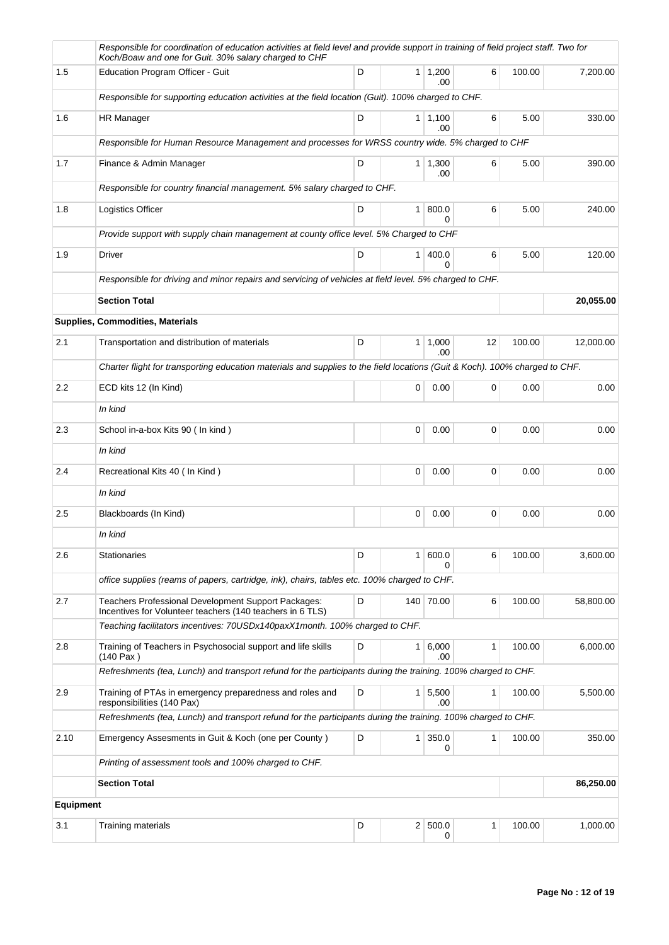|                  | Responsible for coordination of education activities at field level and provide support in training of field project staff. Two for<br>Koch/Boaw and one for Guit. 30% salary charged to CHF |   |                |                        |    |        |           |
|------------------|----------------------------------------------------------------------------------------------------------------------------------------------------------------------------------------------|---|----------------|------------------------|----|--------|-----------|
| 1.5              | Education Program Officer - Guit                                                                                                                                                             | D |                | $1 \mid 1,200$<br>.00  | 6  | 100.00 | 7,200.00  |
|                  | Responsible for supporting education activities at the field location (Guit). 100% charged to CHF.                                                                                           |   |                |                        |    |        |           |
| 1.6              | HR Manager                                                                                                                                                                                   | D |                | $1 \mid 1,100$<br>.00  | 6  | 5.00   | 330.00    |
|                  | Responsible for Human Resource Management and processes for WRSS country wide. 5% charged to CHF                                                                                             |   |                |                        |    |        |           |
| 1.7              | Finance & Admin Manager                                                                                                                                                                      | D |                | $1 \mid 1,300$<br>.00  | 6  | 5.00   | 390.00    |
|                  | Responsible for country financial management. 5% salary charged to CHF.                                                                                                                      |   |                |                        |    |        |           |
| 1.8              | Logistics Officer                                                                                                                                                                            | D | 1 <sup>1</sup> | 800.0<br>0             | 6  | 5.00   | 240.00    |
|                  | Provide support with supply chain management at county office level. 5% Charged to CHF                                                                                                       |   |                |                        |    |        |           |
| 1.9              | Driver                                                                                                                                                                                       | D | 1 <sup>1</sup> | 400.0<br>$\Omega$      | 6  | 5.00   | 120.00    |
|                  | Responsible for driving and minor repairs and servicing of vehicles at field level. 5% charged to CHF.                                                                                       |   |                |                        |    |        |           |
|                  | <b>Section Total</b>                                                                                                                                                                         |   |                |                        |    |        | 20,055.00 |
|                  | Supplies, Commodities, Materials                                                                                                                                                             |   |                |                        |    |        |           |
| 2.1              | Transportation and distribution of materials                                                                                                                                                 | D |                | $1 \mid 1,000$<br>.00  | 12 | 100.00 | 12,000.00 |
|                  | Charter flight for transporting education materials and supplies to the field locations (Guit & Koch). 100% charged to CHF.                                                                  |   |                |                        |    |        |           |
| $2.2\,$          | ECD kits 12 (In Kind)                                                                                                                                                                        |   | 0              | 0.00                   | 0  | 0.00   | 0.00      |
|                  | In kind                                                                                                                                                                                      |   |                |                        |    |        |           |
| 2.3              | School in-a-box Kits 90 (In kind)                                                                                                                                                            |   | $\Omega$       | 0.00                   | 0  | 0.00   | 0.00      |
|                  | In kind                                                                                                                                                                                      |   |                |                        |    |        |           |
| 2.4              | Recreational Kits 40 (In Kind)                                                                                                                                                               |   | 0              | 0.00                   | 0  | 0.00   | 0.00      |
|                  | In kind                                                                                                                                                                                      |   |                |                        |    |        |           |
| 2.5              | Blackboards (In Kind)                                                                                                                                                                        |   | 0              | 0.00                   | 0  | 0.00   | 0.00      |
|                  | In kind                                                                                                                                                                                      |   |                |                        |    |        |           |
| 2.6              | Stationaries                                                                                                                                                                                 | D | 1 <sup>1</sup> | 600.0                  | 6  | 100.00 | 3,600.00  |
|                  | office supplies (reams of papers, cartridge, ink), chairs, tables etc. 100% charged to CHF.                                                                                                  |   |                |                        |    |        |           |
| 2.7              | Teachers Professional Development Support Packages:<br>Incentives for Volunteer teachers (140 teachers in 6 TLS)                                                                             | D |                | 140 70.00              | 6  | 100.00 | 58,800.00 |
|                  | Teaching facilitators incentives: 70USDx140paxX1month. 100% charged to CHF.                                                                                                                  |   |                |                        |    |        |           |
| 2.8              | Training of Teachers in Psychosocial support and life skills<br>(140 Pax)                                                                                                                    | D |                | $1 \, 6,000$<br>.00    | 1  | 100.00 | 6,000.00  |
|                  | Refreshments (tea, Lunch) and transport refund for the participants during the training. 100% charged to CHF.                                                                                |   |                |                        |    |        |           |
| 2.9              | Training of PTAs in emergency preparedness and roles and<br>responsibilities (140 Pax)                                                                                                       | D |                | $1 \mid 5,500$<br>.00  | 1  | 100.00 | 5,500.00  |
|                  | Refreshments (tea, Lunch) and transport refund for the participants during the training. 100% charged to CHF.                                                                                |   |                |                        |    |        |           |
| 2.10             | Emergency Assesments in Guit & Koch (one per County)                                                                                                                                         | D |                | $1 \,   \, 350.0$<br>0 | 1  | 100.00 | 350.00    |
|                  | Printing of assessment tools and 100% charged to CHF.                                                                                                                                        |   |                |                        |    |        |           |
|                  | <b>Section Total</b>                                                                                                                                                                         |   |                |                        |    |        | 86,250.00 |
| <b>Equipment</b> |                                                                                                                                                                                              |   |                |                        |    |        |           |
| 3.1              | Training materials                                                                                                                                                                           | D |                | 2 500.0<br>0           | 1  | 100.00 | 1,000.00  |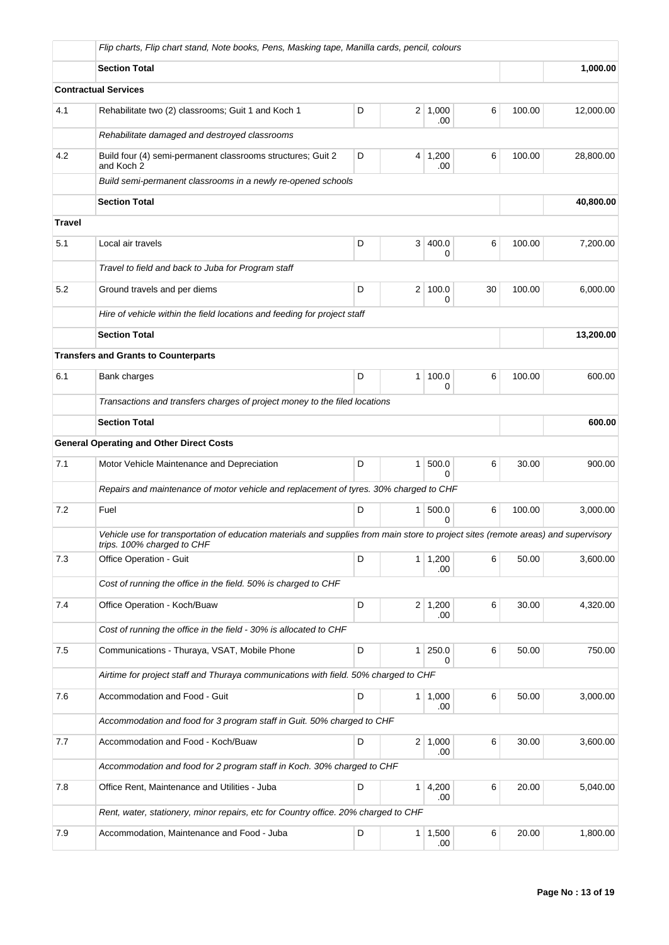|               | Flip charts, Flip chart stand, Note books, Pens, Masking tape, Manilla cards, pencil, colours                                                                    |        |                |                       |    |        |           |
|---------------|------------------------------------------------------------------------------------------------------------------------------------------------------------------|--------|----------------|-----------------------|----|--------|-----------|
|               | <b>Section Total</b>                                                                                                                                             |        |                |                       |    |        | 1,000.00  |
|               | <b>Contractual Services</b>                                                                                                                                      |        |                |                       |    |        |           |
| 4.1           | Rehabilitate two (2) classrooms; Guit 1 and Koch 1                                                                                                               | D      | $\overline{2}$ | 1,000<br>.00          | 6  | 100.00 | 12,000.00 |
|               | Rehabilitate damaged and destroyed classrooms                                                                                                                    |        |                |                       |    |        |           |
| 4.2           | Build four (4) semi-permanent classrooms structures; Guit 2<br>and Koch 2                                                                                        | 100.00 | 28,800.00      |                       |    |        |           |
|               | Build semi-permanent classrooms in a newly re-opened schools                                                                                                     |        |                |                       |    |        |           |
|               | <b>Section Total</b>                                                                                                                                             |        |                |                       |    |        | 40,800.00 |
| <b>Travel</b> |                                                                                                                                                                  |        |                |                       |    |        |           |
| 5.1           | Local air travels                                                                                                                                                | D      | 3 <sup>1</sup> | 400.0<br>0            | 6  | 100.00 | 7,200.00  |
|               | Travel to field and back to Juba for Program staff                                                                                                               |        |                |                       |    |        |           |
| 5.2           | Ground travels and per diems                                                                                                                                     | D      | 2 <sup>1</sup> | 100.0<br>0            | 30 | 100.00 | 6,000.00  |
|               | Hire of vehicle within the field locations and feeding for project staff                                                                                         |        |                |                       |    |        |           |
|               | <b>Section Total</b>                                                                                                                                             |        |                |                       |    |        | 13,200.00 |
|               | <b>Transfers and Grants to Counterparts</b>                                                                                                                      |        |                |                       |    |        |           |
| 6.1           | Bank charges                                                                                                                                                     | D      | 1              | 100.0<br>0            | 6  | 100.00 | 600.00    |
|               | Transactions and transfers charges of project money to the filed locations                                                                                       |        |                |                       |    |        |           |
|               | <b>Section Total</b>                                                                                                                                             |        |                |                       |    |        | 600.00    |
|               | <b>General Operating and Other Direct Costs</b>                                                                                                                  |        |                |                       |    |        |           |
| 7.1           | Motor Vehicle Maintenance and Depreciation                                                                                                                       | D      | 1              | 500.0<br>$\Omega$     | 6  | 30.00  | 900.00    |
|               | Repairs and maintenance of motor vehicle and replacement of tyres. 30% charged to CHF                                                                            |        |                |                       |    |        |           |
| 7.2           | Fuel                                                                                                                                                             | D      | 1              | 500.0<br>U            | 6  | 100.00 | 3,000.00  |
|               | Vehicle use for transportation of education materials and supplies from main store to project sites (remote areas) and supervisory<br>trips. 100% charged to CHF |        |                |                       |    |        |           |
| 7.3           | Office Operation - Guit                                                                                                                                          | D      |                | $1 \mid 1,200$<br>.00 | 6  | 50.00  | 3,600.00  |
|               | Cost of running the office in the field. 50% is charged to CHF                                                                                                   |        |                |                       |    |        |           |
| 7.4           | Office Operation - Koch/Buaw                                                                                                                                     | D      |                | $2 \mid 1,200$<br>.00 | 6  | 30.00  | 4,320.00  |
|               | Cost of running the office in the field - 30% is allocated to CHF                                                                                                |        |                |                       |    |        |           |
| 7.5           | Communications - Thuraya, VSAT, Mobile Phone                                                                                                                     | D      | $\mathbf{1}$   | 250.0<br>0            | 6  | 50.00  | 750.00    |
|               | Airtime for project staff and Thuraya communications with field. 50% charged to CHF                                                                              |        |                |                       |    |        |           |
| 7.6           | Accommodation and Food - Guit                                                                                                                                    | D      | $\mathbf{1}$   | 1,000<br>.00          | 6  | 50.00  | 3,000.00  |
|               | Accommodation and food for 3 program staff in Guit. 50% charged to CHF                                                                                           |        |                |                       |    |        |           |
| 7.7           | Accommodation and Food - Koch/Buaw                                                                                                                               | D      |                | $2 \mid 1,000$<br>.00 | 6  | 30.00  | 3,600.00  |
|               | Accommodation and food for 2 program staff in Koch. 30% charged to CHF                                                                                           |        |                |                       |    |        |           |
| 7.8           | Office Rent, Maintenance and Utilities - Juba                                                                                                                    | D      | $\mathbf{1}$   | 4,200<br>.00          | 6  | 20.00  | 5,040.00  |
|               | Rent, water, stationery, minor repairs, etc for Country office. 20% charged to CHF                                                                               |        |                |                       |    |        |           |
| 7.9           | Accommodation, Maintenance and Food - Juba                                                                                                                       | D      | 1              | 1,500<br>.00          | 6  | 20.00  | 1,800.00  |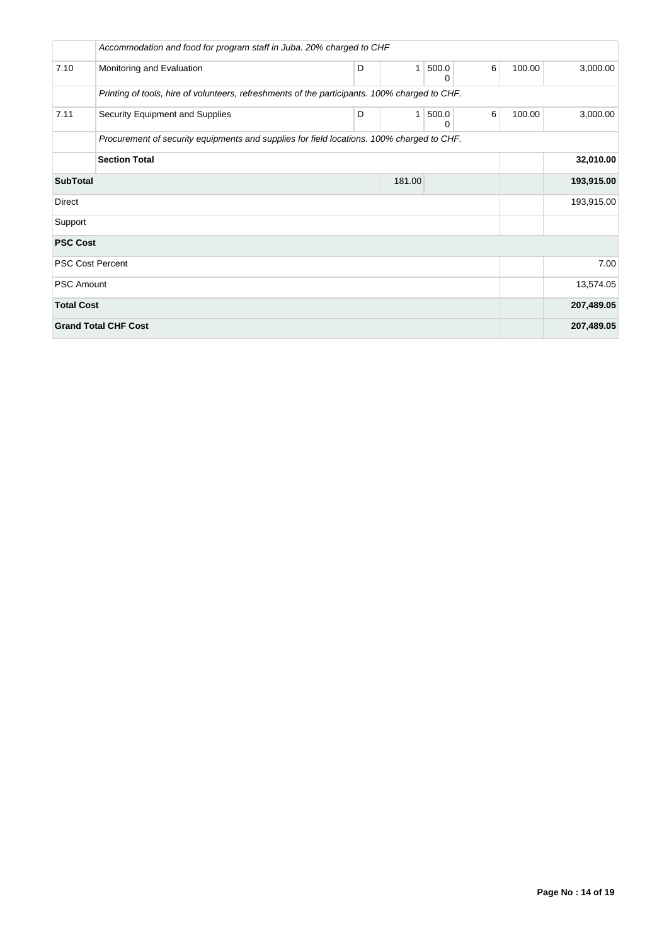|                             | Accommodation and food for program staff in Juba. 20% charged to CHF                          |   |        |            |   |        |            |
|-----------------------------|-----------------------------------------------------------------------------------------------|---|--------|------------|---|--------|------------|
| 7.10                        | Monitoring and Evaluation                                                                     | D | 1      | 500.0<br>0 | 6 | 100.00 | 3,000.00   |
|                             | Printing of tools, hire of volunteers, refreshments of the participants. 100% charged to CHF. |   |        |            |   |        |            |
| 7.11                        | Security Equipment and Supplies                                                               | D | 1      | 500.0<br>0 | 6 | 100.00 | 3,000.00   |
|                             | Procurement of security equipments and supplies for field locations. 100% charged to CHF.     |   |        |            |   |        |            |
|                             | <b>Section Total</b>                                                                          |   |        |            |   |        | 32,010.00  |
| <b>SubTotal</b>             |                                                                                               |   | 181.00 |            |   |        | 193,915.00 |
| Direct                      |                                                                                               |   |        |            |   |        | 193,915.00 |
| Support                     |                                                                                               |   |        |            |   |        |            |
| <b>PSC Cost</b>             |                                                                                               |   |        |            |   |        |            |
| <b>PSC Cost Percent</b>     |                                                                                               |   |        |            |   |        | 7.00       |
| <b>PSC Amount</b>           |                                                                                               |   |        |            |   |        | 13,574.05  |
| <b>Total Cost</b>           |                                                                                               |   |        |            |   |        | 207,489.05 |
| <b>Grand Total CHF Cost</b> |                                                                                               |   |        |            |   |        | 207,489.05 |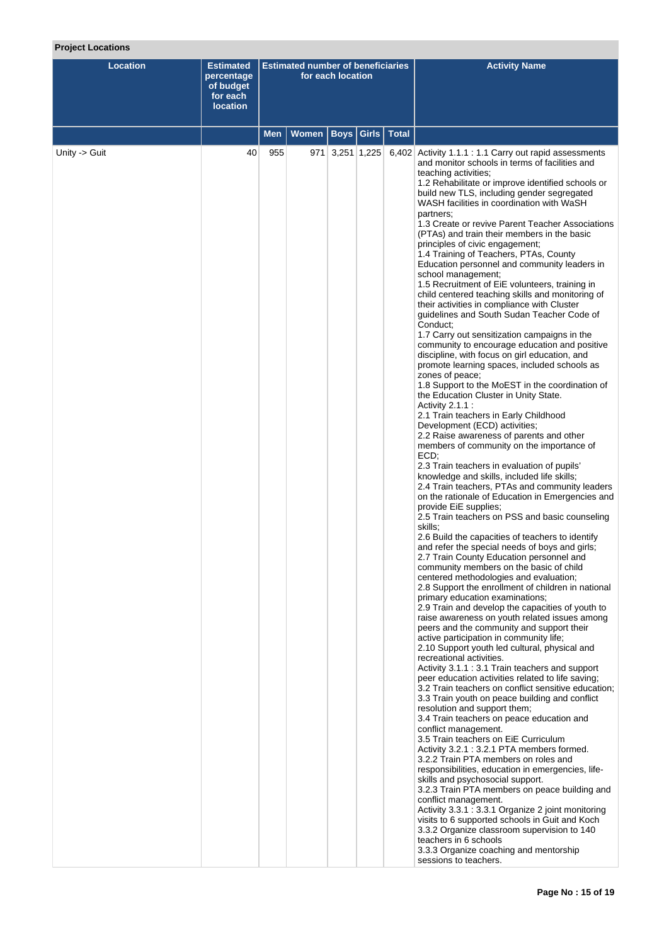## **Project Locations**

| <b>Location</b> | <b>Estimated</b><br>percentage<br>of budget<br>for each<br><b>location</b> |     | <b>Estimated number of beneficiaries</b> | for each location |       |              | <b>Activity Name</b>                                                                                                                                                                                                                                                                                                                                                                                                                                                                                                                                                                                                                                                                                                                                                                                                                                                                                                                                                                                                                                                                                                                                                                                                                                                                                                                                                                                                                                                                                                                                                                                                                                                                                                                                                                                                                                                                                                                                                                                                                                                                                                                                                                                                                                                                                                                                                                                                                                                                                                                                                                                                                                                                                                                                                                                                                                                                                                                                                                                                                                             |  |  |  |
|-----------------|----------------------------------------------------------------------------|-----|------------------------------------------|-------------------|-------|--------------|------------------------------------------------------------------------------------------------------------------------------------------------------------------------------------------------------------------------------------------------------------------------------------------------------------------------------------------------------------------------------------------------------------------------------------------------------------------------------------------------------------------------------------------------------------------------------------------------------------------------------------------------------------------------------------------------------------------------------------------------------------------------------------------------------------------------------------------------------------------------------------------------------------------------------------------------------------------------------------------------------------------------------------------------------------------------------------------------------------------------------------------------------------------------------------------------------------------------------------------------------------------------------------------------------------------------------------------------------------------------------------------------------------------------------------------------------------------------------------------------------------------------------------------------------------------------------------------------------------------------------------------------------------------------------------------------------------------------------------------------------------------------------------------------------------------------------------------------------------------------------------------------------------------------------------------------------------------------------------------------------------------------------------------------------------------------------------------------------------------------------------------------------------------------------------------------------------------------------------------------------------------------------------------------------------------------------------------------------------------------------------------------------------------------------------------------------------------------------------------------------------------------------------------------------------------------------------------------------------------------------------------------------------------------------------------------------------------------------------------------------------------------------------------------------------------------------------------------------------------------------------------------------------------------------------------------------------------------------------------------------------------------------------------------------------------|--|--|--|
|                 |                                                                            | Men | <b>Women</b>                             | <b>Boys</b>       | Girls | <b>Total</b> |                                                                                                                                                                                                                                                                                                                                                                                                                                                                                                                                                                                                                                                                                                                                                                                                                                                                                                                                                                                                                                                                                                                                                                                                                                                                                                                                                                                                                                                                                                                                                                                                                                                                                                                                                                                                                                                                                                                                                                                                                                                                                                                                                                                                                                                                                                                                                                                                                                                                                                                                                                                                                                                                                                                                                                                                                                                                                                                                                                                                                                                                  |  |  |  |
| Unity -> Guit   | 40                                                                         | 955 |                                          | 971 3,251 1,225   |       |              | 6,402 Activity 1.1.1 : 1.1 Carry out rapid assessments<br>and monitor schools in terms of facilities and<br>teaching activities;<br>1.2 Rehabilitate or improve identified schools or<br>build new TLS, including gender segregated<br>WASH facilities in coordination with WaSH<br>partners;<br>1.3 Create or revive Parent Teacher Associations<br>(PTAs) and train their members in the basic<br>principles of civic engagement;<br>1.4 Training of Teachers, PTAs, County<br>Education personnel and community leaders in<br>school management;<br>1.5 Recruitment of EiE volunteers, training in<br>child centered teaching skills and monitoring of<br>their activities in compliance with Cluster<br>guidelines and South Sudan Teacher Code of<br>Conduct:<br>1.7 Carry out sensitization campaigns in the<br>community to encourage education and positive<br>discipline, with focus on girl education, and<br>promote learning spaces, included schools as<br>zones of peace;<br>1.8 Support to the MoEST in the coordination of<br>the Education Cluster in Unity State.<br>Activity $2.1.1$ :<br>2.1 Train teachers in Early Childhood<br>Development (ECD) activities;<br>2.2 Raise awareness of parents and other<br>members of community on the importance of<br>ECD;<br>2.3 Train teachers in evaluation of pupils'<br>knowledge and skills, included life skills;<br>2.4 Train teachers, PTAs and community leaders<br>on the rationale of Education in Emergencies and<br>provide EiE supplies;<br>2.5 Train teachers on PSS and basic counseling<br>skills:<br>2.6 Build the capacities of teachers to identify<br>and refer the special needs of boys and girls;<br>2.7 Train County Education personnel and<br>community members on the basic of child<br>centered methodologies and evaluation;<br>2.8 Support the enrollment of children in national<br>primary education examinations;<br>2.9 Train and develop the capacities of youth to<br>raise awareness on youth related issues among<br>peers and the community and support their<br>active participation in community life;<br>2.10 Support youth led cultural, physical and<br>recreational activities.<br>Activity 3.1.1: 3.1 Train teachers and support<br>peer education activities related to life saving;<br>3.2 Train teachers on conflict sensitive education;<br>3.3 Train youth on peace building and conflict<br>resolution and support them;<br>3.4 Train teachers on peace education and<br>conflict management.<br>3.5 Train teachers on EiE Curriculum<br>Activity 3.2.1 : 3.2.1 PTA members formed.<br>3.2.2 Train PTA members on roles and<br>responsibilities, education in emergencies, life-<br>skills and psychosocial support.<br>3.2.3 Train PTA members on peace building and<br>conflict management.<br>Activity 3.3.1 : 3.3.1 Organize 2 joint monitoring<br>visits to 6 supported schools in Guit and Koch<br>3.3.2 Organize classroom supervision to 140<br>teachers in 6 schools<br>3.3.3 Organize coaching and mentorship<br>sessions to teachers. |  |  |  |